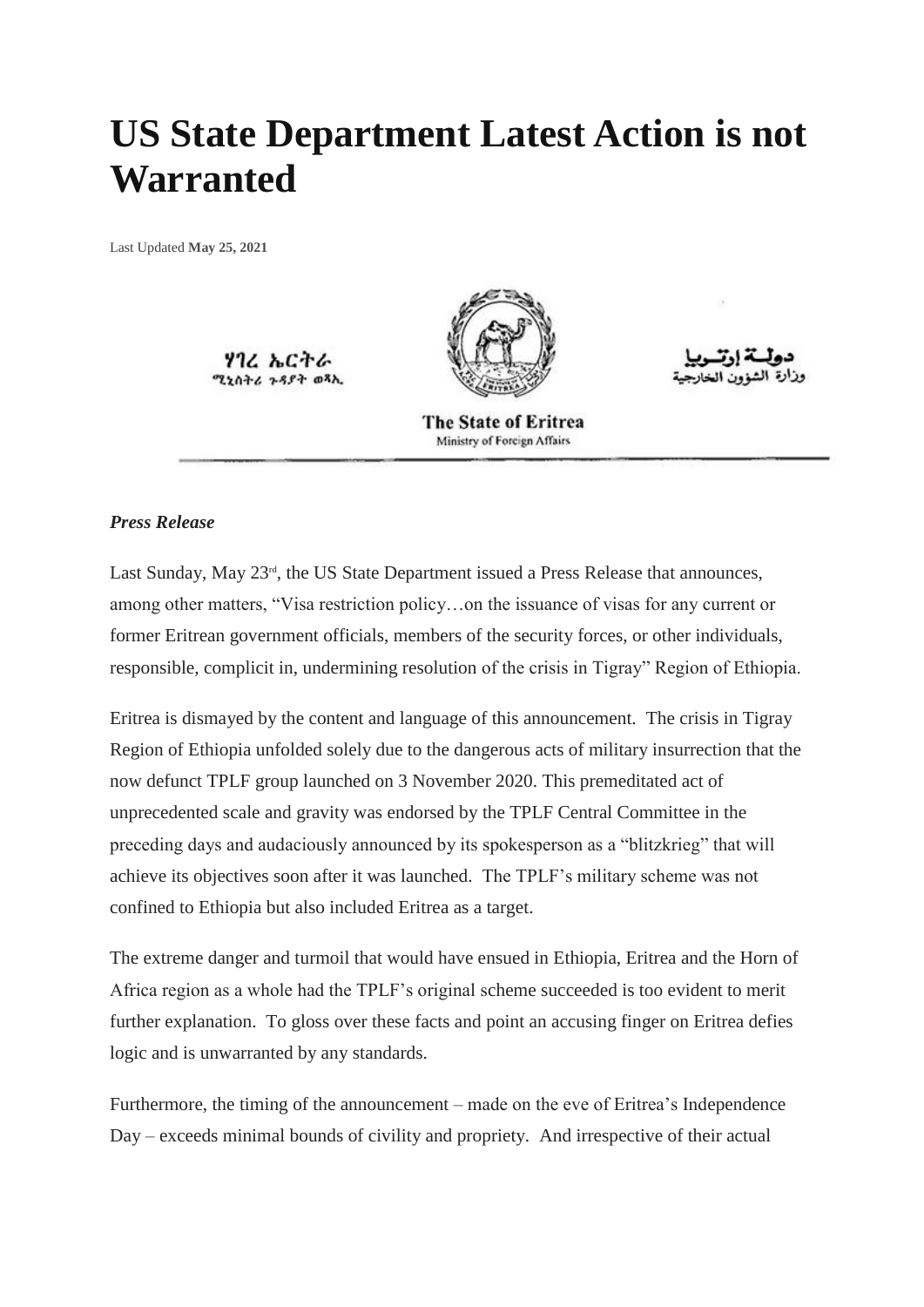## **US State Department Latest Action is not Warranted**

Last Updated **[May 25, 2021](https://shabait.com/wp-content/uploads/2021/05/shabait1-4-1.jpg)**

ሃገረ ኤርትሪ ሚኒስትሪ ጉዳያት ወጻኢ



**The State of Eritrea** Ministry of Foreign Affairs

## *Press Release*

Last Sunday, May 23<sup>rd</sup>, the US State Department issued a Press Release that announces, among other matters, "Visa restriction policy…on the issuance of visas for any current or former Eritrean government officials, members of the security forces, or other individuals, responsible, complicit in, undermining resolution of the crisis in Tigray" Region of Ethiopia.

Eritrea is dismayed by the content and language of this announcement. The crisis in Tigray Region of Ethiopia unfolded solely due to the dangerous acts of military insurrection that the now defunct TPLF group launched on 3 November 2020. This premeditated act of unprecedented scale and gravity was endorsed by the TPLF Central Committee in the preceding days and audaciously announced by its spokesperson as a "blitzkrieg" that will achieve its objectives soon after it was launched. The TPLF's military scheme was not confined to Ethiopia but also included Eritrea as a target.

The extreme danger and turmoil that would have ensued in Ethiopia, Eritrea and the Horn of Africa region as a whole had the TPLF's original scheme succeeded is too evident to merit further explanation. To gloss over these facts and point an accusing finger on Eritrea defies logic and is unwarranted by any standards.

Furthermore, the timing of the announcement – made on the eve of Eritrea's Independence Day – exceeds minimal bounds of civility and propriety. And irrespective of their actual